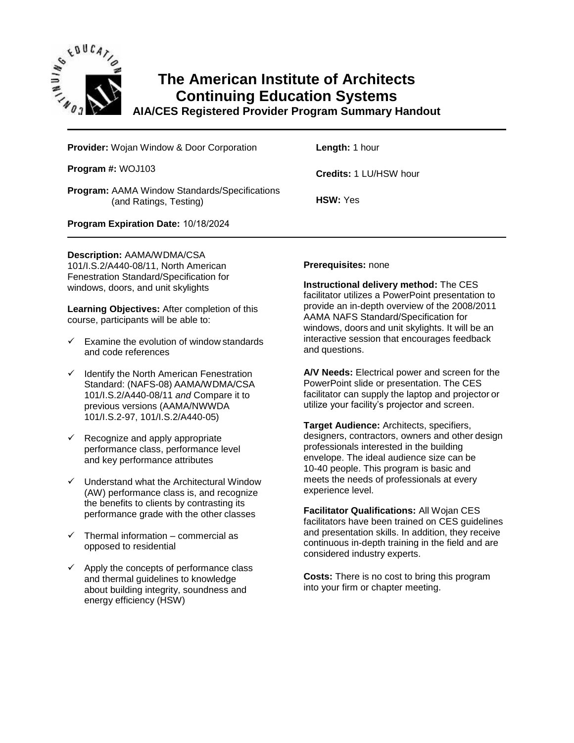

## **The American Institute of Architects Continuing Education Systems**

**AIA/CES Registered Provider Program Summary Handout**

**Provider:** Wojan Window & Door Corporation

**Program #:** WOJ103

**Program:** AAMA Window Standards/Specifications (and Ratings, Testing)

**Length:** 1 hour

**Credits:** 1 LU/HSW hour

**HSW:** Yes

**Program Expiration Date:** 10/18/2024

**Description:** AAMA/WDMA/CSA

101/I.S.2/A440-08/11, North American Fenestration Standard/Specification for windows, doors, and unit skylights

**Learning Objectives:** After completion of this course, participants will be able to:

- $\checkmark$  Examine the evolution of window standards and code references
- ✓ Identify the North American Fenestration Standard: (NAFS-08) AAMA/WDMA/CSA 101/I.S.2/A440-08/11 *and* Compare it to previous versions (AAMA/NWWDA 101/I.S.2-97, 101/I.S.2/A440-05)
- $\checkmark$  Recognize and apply appropriate performance class, performance level and key performance attributes
- ✓ Understand what the Architectural Window (AW) performance class is, and recognize the benefits to clients by contrasting its performance grade with the other classes
- $\checkmark$  Thermal information commercial as opposed to residential
- $\checkmark$  Apply the concepts of performance class and thermal guidelines to knowledge about building integrity, soundness and energy efficiency (HSW)

## **Prerequisites:** none

**Instructional delivery method:** The CES facilitator utilizes a PowerPoint presentation to provide an in-depth overview of the 2008/2011 AAMA NAFS Standard/Specification for windows, doors and unit skylights. It will be an interactive session that encourages feedback and questions.

**A/V Needs:** Electrical power and screen for the PowerPoint slide or presentation. The CES facilitator can supply the laptop and projector or utilize your facility's projector and screen.

**Target Audience:** Architects, specifiers, designers, contractors, owners and other design professionals interested in the building envelope. The ideal audience size can be 10-40 people. This program is basic and meets the needs of professionals at every experience level.

**Facilitator Qualifications:** All Wojan CES facilitators have been trained on CES guidelines and presentation skills. In addition, they receive continuous in-depth training in the field and are considered industry experts.

**Costs:** There is no cost to bring this program into your firm or chapter meeting.